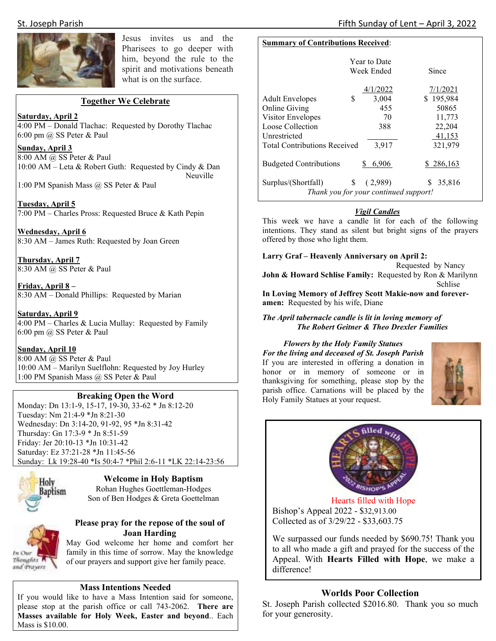

Jesus invites us and the Pharisees to go deeper with him, beyond the rule to the spirit and motivations beneath what is on the surface.

### **Together We Celebrate**

### **Saturday, April 2**

4:00 PM – Donald Tlachac: Requested by Dorothy Tlachac 6:00 pm @ SS Peter & Paul

**Sunday, April 3**  8:00 AM @ SS Peter & Paul 10:00 AM – Leta & Robert Guth: Requested by Cindy & Dan Neuville

1:00 PM Spanish Mass @ SS Peter & Paul

**Tuesday, April 5**  7:00 PM – Charles Pross: Requested Bruce & Kath Pepin

**Wednesday, April 6**  8:30 AM – James Ruth: Requested by Joan Green

**Thursday, April 7**  8:30 AM @ SS Peter & Paul

**Friday, April 8 –**  8:30 AM – Donald Phillips: Requested by Marian

**Saturday, April 9**  4:00 PM – Charles & Lucia Mullay: Requested by Family 6:00 pm @ SS Peter & Paul

### **Sunday, April 10**

8:00 AM @ SS Peter & Paul 10:00 AM – Marilyn Suelflohn: Requested by Joy Hurley 1:00 PM Spanish Mass @ SS Peter & Paul

### **Breaking Open the Word**

Monday: Dn 13:1-9, 15-17, 19-30, 33-62 \* Jn 8:12-20 Tuesday: Nm 21:4-9 \*Jn 8:21-30 Wednesday: Dn 3:14-20, 91-92, 95 \*Jn 8:31-42 Thursday: Gn 17:3-9 \* Jn 8:51-59 Friday: Jer 20:10-13 \*Jn 10:31-42 Saturday: Ez 37:21-28 \*Jn 11:45-56 Sunday: Lk 19:28-40 \*Is 50:4-7 \*Phil 2:6-11 \*LK 22:14-23:56



In Our Thoughts<sup>1</sup> and Prayers

**Welcome in Holy Baptism**  Rohan Hughes Goettleman-Hodges

Son of Ben Hodges & Greta Goettelman

### **Please pray for the repose of the soul of Joan Harding**

May God welcome her home and comfort her family in this time of sorrow. May the knowledge of our prayers and support give her family peace.

### **Mass Intentions Needed**

If you would like to have a Mass Intention said for someone, please stop at the parish office or call 743-2062. **There are Masses available for Holy Week, Easter and beyond**.. Each Mass is \$10.00.

### **Summary of Contributions Received**:

|                                       | <b>Year to Date</b><br>Week Ended | Since       |  |  |  |  |
|---------------------------------------|-----------------------------------|-------------|--|--|--|--|
|                                       | 4/1/2022                          | 7/1/2021    |  |  |  |  |
| S<br><b>Adult Envelopes</b>           | 3,004                             | \$195,984   |  |  |  |  |
| Online Giving                         | 455                               | 50865       |  |  |  |  |
| Visitor Envelopes                     | 70                                | 11,773      |  |  |  |  |
| Loose Collection                      | 388                               | 22,204      |  |  |  |  |
| Unrestricted                          |                                   | 41,153      |  |  |  |  |
| <b>Total Contributions Received</b>   | 3,917                             | 321,979     |  |  |  |  |
|                                       |                                   |             |  |  |  |  |
| <b>Budgeted Contributions</b>         | 6.906                             | \$286,163   |  |  |  |  |
|                                       |                                   |             |  |  |  |  |
| \$<br>Surplus/(Shortfall)             | (2,989)                           | 35,816<br>S |  |  |  |  |
| Thank you for your continued support! |                                   |             |  |  |  |  |

### *Vigil Candles*

This week we have a candle lit for each of the following intentions. They stand as silent but bright signs of the prayers offered by those who light them.

### **Larry Graf – Heavenly Anniversary on April 2:**

Requested by Nancy **John & Howard Schlise Family:** Requested by Ron & Marilynn Schlise **In Loving Memory of Jeffrey Scott Makie-now and forever-**

**amen:** Requested by his wife, Diane

### *The April tabernacle candle is lit in loving memory of The Robert Geitner & Theo Drexler Families*

*Flowers by the Holy Family Statues For the living and deceased of St. Joseph Parish* If you are interested in offering a donation in honor or in memory of someone or in thanksgiving for something, please stop by the parish office. Carnations will be placed by the Holy Family Statues at your request.





Hearts filled with Hope Bishop's Appeal 2022 - \$32,913.00 Collected as of 3/29/22 - \$33,603.75

We surpassed our funds needed by \$690.75! Thank you to all who made a gift and prayed for the success of the Appeal. With **Hearts Filled with Hope**, we make a difference!

### **Worlds Poor Collection**

St. Joseph Parish collected \$2016.80. Thank you so much for your generosity.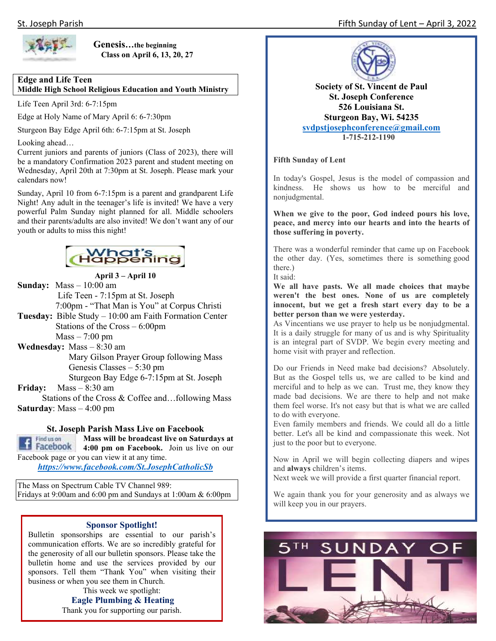

**Genesis…the beginning Class on April 6, 13, 20, 27** 

### **Edge and Life Teen**

**Middle High School Religious Education and Youth Ministry** 

Life Teen April 3rd: 6-7:15pm

Edge at Holy Name of Mary April 6: 6-7:30pm

Sturgeon Bay Edge April 6th: 6-7:15pm at St. Joseph

Looking ahead…

Current juniors and parents of juniors (Class of 2023), there will be a mandatory Confirmation 2023 parent and student meeting on Wednesday, April 20th at 7:30pm at St. Joseph. Please mark your calendars now!

Sunday, April 10 from 6-7:15pm is a parent and grandparent Life Night! Any adult in the teenager's life is invited! We have a very powerful Palm Sunday night planned for all. Middle schoolers and their parents/adults are also invited! We don't want any of our youth or adults to miss this night!



**April 3 – April 10 Sunday:** Mass – 10:00 am

 Life Teen - 7:15pm at St. Joseph 7:00pm - "That Man is You" at Corpus Christi

- **Tuesday:** Bible Study 10:00 am Faith Formation Center Stations of the Cross – 6:00pm  $Mass - 7:00$  pm
- **Wednesday:** Mass 8:30 am Mary Gilson Prayer Group following Mass Genesis Classes – 5:30 pm Sturgeon Bay Edge 6-7:15pm at St. Joseph

**Friday:** Mass – 8:30 am

 Stations of the Cross & Coffee and…following Mass **Saturday**: Mass – 4:00 pm

### **St. Joseph Parish Mass Live on Facebook**



**Mass will be broadcast live on Saturdays at 4:00 pm on Facebook.** Join us live on our Facebook page or you can view it at any time.

*https://www.facebook.com/St.JosephCatholicSb* 

The Mass on Spectrum Cable TV Channel 989: Fridays at 9:00am and 6:00 pm and Sundays at 1:00am & 6:00pm

### **Sponsor Spotlight!**

Bulletin sponsorships are essential to our parish's communication efforts. We are so incredibly grateful for the generosity of all our bulletin sponsors. Please take the bulletin home and use the services provided by our sponsors. Tell them "Thank You" when visiting their business or when you see them in Church.

This week we spotlight: **Eagle Plumbing & Heating**  Thank you for supporting our parish.



**Society of St. Vincent de Paul St. Joseph Conference 526 Louisiana St. Sturgeon Bay, Wi. 54235 svdpstjosephconference@gmail.com 1-715-212-1190**

**Fifth Sunday of Lent**

In today's Gospel, Jesus is the model of compassion and kindness. He shows us how to be merciful and nonjudgmental.

**When we give to the poor, God indeed pours his love, peace, and mercy into our hearts and into the hearts of those suffering in poverty.**

There was a wonderful reminder that came up on Facebook the other day. (Yes, sometimes there is something good there.)

It said:

**We all have pasts. We all made choices that maybe weren't the best ones. None of us are completely innocent, but we get a fresh start every day to be a better person than we were yesterday.**

As Vincentians we use prayer to help us be nonjudgmental. It is a daily struggle for many of us and is why Spirituality is an integral part of SVDP. We begin every meeting and home visit with prayer and reflection.

Do our Friends in Need make bad decisions? Absolutely. But as the Gospel tells us, we are called to be kind and merciful and to help as we can. Trust me, they know they made bad decisions. We are there to help and not make them feel worse. It's not easy but that is what we are called to do with everyone.

Even family members and friends. We could all do a little better. Let's all be kind and compassionate this week. Not just to the poor but to everyone.

Now in April we will begin collecting diapers and wipes and **always** children's items.

Next week we will provide a first quarter financial report.

We again thank you for your generosity and as always we will keep you in our prayers.

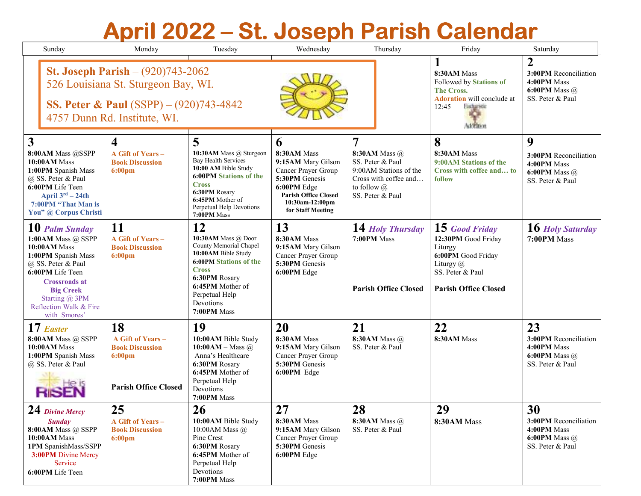## **April 2022–St. Joseph Parish Calendar St. Joseph Parish Calendar**

| Sunday                                                                                                                                                                                                                        | Monday                                                                                               | Tuesday                                                                                                                                                                                                        | Wednesday                                                                                                                                                                       | Thursday                                                                                                                                         | Friday                                                                                                                                 | Saturday                                                                               |
|-------------------------------------------------------------------------------------------------------------------------------------------------------------------------------------------------------------------------------|------------------------------------------------------------------------------------------------------|----------------------------------------------------------------------------------------------------------------------------------------------------------------------------------------------------------------|---------------------------------------------------------------------------------------------------------------------------------------------------------------------------------|--------------------------------------------------------------------------------------------------------------------------------------------------|----------------------------------------------------------------------------------------------------------------------------------------|----------------------------------------------------------------------------------------|
| <b>St. Joseph Parish</b> $- (920)743 - 2062$<br>526 Louisiana St. Sturgeon Bay, WI.<br><b>SS. Peter &amp; Paul</b> (SSPP) $- (920)743-4842$<br>4757 Dunn Rd. Institute, WI.                                                   |                                                                                                      |                                                                                                                                                                                                                |                                                                                                                                                                                 | 8:30AM Mass<br>Followed by Stations of<br><b>The Cross.</b><br><b>Adoration</b> will conclude at<br>12:45<br>facturation<br><b>Addition</b>      | 2<br>3:00PM Reconciliation<br>4:00PM Mass<br>6:00PM Mass $\omega$<br>SS. Peter & Paul                                                  |                                                                                        |
| $\mathbf{3}$<br>8:00AM Mass @SSPP<br>10:00AM Mass<br>1:00PM Spanish Mass<br>@ SS. Peter & Paul<br>6:00PM Life Teen<br>April $3^{rd}$ – 24th<br>7:00PM "That Man is<br>You" @ Corpus Christi                                   | $\overline{\mathbf{4}}$<br>A Gift of Years -<br><b>Book Discussion</b><br>$6:00 \text{pm}$           | 5<br>10:30AM Mass @ Sturgeon<br>Bay Health Services<br>10:00 AM Bible Study<br><b>6:00PM Stations of the</b><br><b>Cross</b><br>6:30PM Rosary<br>6:45PM Mother of<br>Perpetual Help Devotions<br>7:00PM Mass   | $\mathbf b$<br>8:30AM Mass<br>9:15AM Mary Gilson<br>Cancer Prayer Group<br>5:30PM Genesis<br>6:00PM Edge<br><b>Parish Office Closed</b><br>10:30am-12:00pm<br>for Staff Meeting | $\overline{7}$<br>8:30AM Mass @<br>SS. Peter & Paul<br>9:00AM Stations of the<br>Cross with coffee and<br>to follow $\omega$<br>SS. Peter & Paul | 8<br>8:30AM Mass<br>9:00 AM Stations of the<br>Cross with coffee and to<br>follow                                                      | 9<br>3:00PM Reconciliation<br>4:00PM Mass<br>6:00PM Mass $\omega$<br>SS. Peter & Paul  |
| 10 Palm Sunday<br>1:00AM Mass @ SSPP<br>10:00AM Mass<br>1:00PM Spanish Mass<br>@ SS. Peter & Paul<br>6:00PM Life Teen<br><b>Crossroads at</b><br><b>Big Creek</b><br>Starting @ 3PM<br>Reflection Walk & Fire<br>with Smores' | 11<br>A Gift of Years -<br><b>Book Discussion</b><br>$6:00 \text{pm}$                                | 12<br>10:30AM Mass @ Door<br>County Memorial Chapel<br>10:00AM Bible Study<br><b>6:00PM Stations of the</b><br><b>Cross</b><br>6:30PM Rosary<br>6:45PM Mother of<br>Perpetual Help<br>Devotions<br>7:00PM Mass | 13<br>8:30AM Mass<br>9:15AM Mary Gilson<br>Cancer Prayer Group<br>5:30PM Genesis<br>6:00PM Edge                                                                                 | 14 Holy Thursday<br>7:00PM Mass<br><b>Parish Office Closed</b>                                                                                   | 15 Good Friday<br>12:30PM Good Friday<br>Liturgy<br>6:00PM Good Friday<br>Liturgy @<br>SS. Peter & Paul<br><b>Parish Office Closed</b> | 16 Holy Saturday<br>7:00PM Mass                                                        |
| 17 Easter<br>8:00AM Mass @ SSPP<br>10:00AM Mass<br>1:00PM Spanish Mass<br>@ SS. Peter & Paul                                                                                                                                  | 18<br>A Gift of Years -<br><b>Book Discussion</b><br>$6:00 \text{pm}$<br><b>Parish Office Closed</b> | 19<br>10:00AM Bible Study<br>$10:00AM - Mass$ @<br>Anna's Healthcare<br>6:30PM Rosary<br>6:45PM Mother of<br>Perpetual Help<br>Devotions<br>7:00PM Mass                                                        | 20<br>8:30AM Mass<br>9:15AM Mary Gilson<br>Cancer Prayer Group<br>5:30PM Genesis<br>6:00PM Edge                                                                                 | 21<br>8:30AM Mass @<br>SS. Peter & Paul                                                                                                          | 22<br>8:30AM Mass                                                                                                                      | 23<br>3:00PM Reconciliation<br>4:00PM Mass<br>6:00PM Mass $\omega$<br>SS. Peter & Paul |
| $24$ Divine Mercy<br><b>Sunday</b><br>8:00AM Mass @ SSPP<br>10:00AM Mass<br>1PM SpanishMass/SSPP<br>3:00PM Divine Mercy<br>Service<br>6:00PM Life Teen                                                                        | 25<br>A Gift of Years -<br><b>Book Discussion</b><br>$6:00 \text{pm}$                                | 26<br>10:00AM Bible Study<br>10:00 AM Mass $\omega$<br>Pine Crest<br>6:30PM Rosary<br>6:45PM Mother of<br>Perpetual Help<br>Devotions<br>7:00PM Mass                                                           | 27<br>8:30AM Mass<br>9:15AM Mary Gilson<br>Cancer Prayer Group<br>5:30PM Genesis<br>6:00PM Edge                                                                                 | 28<br>8:30AM Mass @<br>SS. Peter & Paul                                                                                                          | 29<br>8:30AM Mass                                                                                                                      | 30<br>3:00PM Reconciliation<br>4:00PM Mass<br>6:00PM Mass $\omega$<br>SS. Peter & Paul |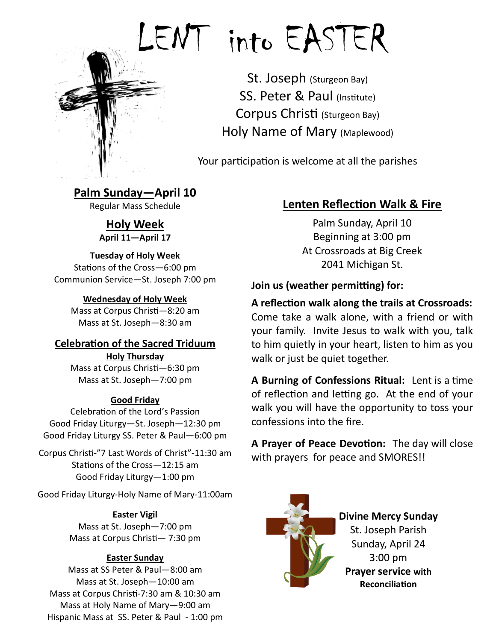

# [LE](https://www.google.com/imgres?imgurl=http://blogs.thegospelcoalition.org/justintaylor/files/2013/02/lent.gif&imgrefurl=http://blogs.thegospelcoalition.org/justintaylor/2013/02/22/should-christians-abstain-from-lent/&h=1399&w=1200&tbnid=ogajGDYcHUErQM:&do)NT into EASTER

St. Joseph (Sturgeon Bay) SS. Peter & Paul (Institute) Corpus Christi (Sturgeon Bay) Holy Name of Mary (Maplewood)

Your participation is welcome at all the parishes

### **Palm Sunday—April 10** Regular Mass Schedule

**Holy Week April 11—April 17**

### **Tuesday of Holy Week**

Stations of the Cross—6:00 pm Communion Service—St. Joseph 7:00 pm

### **Wednesday of Holy Week**

Mass at Corpus Christi—8:20 am Mass at St. Joseph—8:30 am

### **Celebration of the Sacred Triduum**

**Holy Thursday** Mass at Corpus Christi—6:30 pm Mass at St. Joseph—7:00 pm

### **Good Friday**

Celebration of the Lord's Passion Good Friday Liturgy—St. Joseph—12:30 pm Good Friday Liturgy SS. Peter & Paul—6:00 pm

Corpus Christi-"7 Last Words of Christ"-11:30 am Stations of the Cross—12:15 am Good Friday Liturgy—1:00 pm

Good Friday Liturgy-Holy Name of Mary-11:00am

### **Easter Vigil**

Mass at St. Joseph—7:00 pm Mass at Corpus Christi— 7:30 pm

### **Easter Sunday**

Mass at SS Peter & Paul—8:00 am Mass at St. Joseph—10:00 am Mass at Corpus Christi-7:30 am & 10:30 am Mass at Holy Name of Mary—9:00 am Hispanic Mass at SS. Peter & Paul - 1:00 pm

### **Lenten Reflection Walk & Fire**

Palm Sunday, April 10 Beginning at 3:00 pm At Crossroads at Big Creek 2041 Michigan St.

### **Join us (weather permitting) for:**

### **A reflection walk along the trails at Crossroads:**

Come take a walk alone, with a friend or with your family. Invite Jesus to walk with you, talk to him quietly in your heart, listen to him as you walk or just be quiet together.

**A Burning of Confessions Ritual:** Lent is a time of reflection and letting go. At the end of your walk you will have the opportunity to toss your confessions into the fire.

**A Prayer of Peace Devotion:** The day will close with prayers for peace and SMORES!!



### **Divine Mercy Sunday**

St. Joseph Parish Sunday, April 24 3:00 pm **Prayer service with Reconciliation**